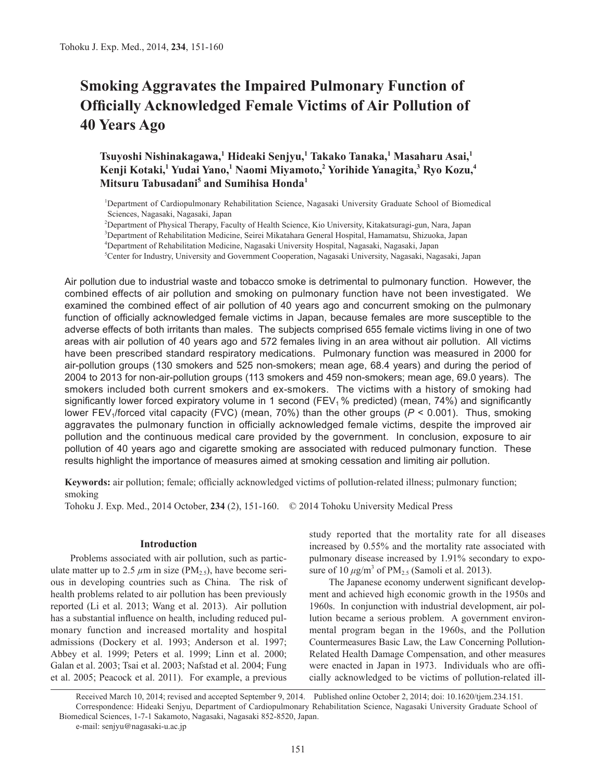# **Smoking Aggravates the Impaired Pulmonary Function of Officially Acknowledged Female Victims of Air Pollution of 40 Years Ago**

**Tsuyoshi Nishinakagawa,<sup>1</sup> Hideaki Senjyu,<sup>1</sup> Takako Tanaka,<sup>1</sup> Masaharu Asai,<sup>1</sup> Kenji Kotaki,<sup>1</sup> Yudai Yano,<sup>1</sup> Naomi Miyamoto,<sup>2</sup> Yorihide Yanagita,<sup>3</sup> Ryo Kozu,<sup>4</sup> Mitsuru Tabusadani<sup>5</sup> and Sumihisa Honda<sup>1</sup>**

1 Department of Cardiopulmonary Rehabilitation Science, Nagasaki University Graduate School of Biomedical Sciences, Nagasaki, Nagasaki, Japan

2 Department of Physical Therapy, Faculty of Health Science, Kio University, Kitakatsuragi-gun, Nara, Japan

3 Department of Rehabilitation Medicine, Seirei Mikatahara General Hospital, Hamamatsu, Shizuoka, Japan

4 Department of Rehabilitation Medicine, Nagasaki University Hospital, Nagasaki, Nagasaki, Japan

5 Center for Industry, University and Government Cooperation, Nagasaki University, Nagasaki, Nagasaki, Japan

Air pollution due to industrial waste and tobacco smoke is detrimental to pulmonary function. However, the combined effects of air pollution and smoking on pulmonary function have not been investigated. We examined the combined effect of air pollution of 40 years ago and concurrent smoking on the pulmonary function of officially acknowledged female victims in Japan, because females are more susceptible to the adverse effects of both irritants than males. The subjects comprised 655 female victims living in one of two areas with air pollution of 40 years ago and 572 females living in an area without air pollution. All victims have been prescribed standard respiratory medications. Pulmonary function was measured in 2000 for air-pollution groups (130 smokers and 525 non-smokers; mean age, 68.4 years) and during the period of 2004 to 2013 for non-air-pollution groups (113 smokers and 459 non-smokers; mean age, 69.0 years). The smokers included both current smokers and ex-smokers. The victims with a history of smoking had significantly lower forced expiratory volume in 1 second ( $FEV<sub>1</sub>$ % predicted) (mean, 74%) and significantly lower FEV<sub>1</sub>/forced vital capacity (FVC) (mean, 70%) than the other groups ( $P < 0.001$ ). Thus, smoking aggravates the pulmonary function in officially acknowledged female victims, despite the improved air pollution and the continuous medical care provided by the government. In conclusion, exposure to air pollution of 40 years ago and cigarette smoking are associated with reduced pulmonary function. These results highlight the importance of measures aimed at smoking cessation and limiting air pollution.

**Keywords:** air pollution; female; officially acknowledged victims of pollution-related illness; pulmonary function; smoking

Tohoku J. Exp. Med., 2014 October, **234** (2), 151-160. © 2014 Tohoku University Medical Press

# **Introduction**

Problems associated with air pollution, such as particulate matter up to 2.5  $\mu$ m in size (PM<sub>2.5</sub>), have become serious in developing countries such as China. The risk of health problems related to air pollution has been previously reported (Li et al. 2013; Wang et al. 2013). Air pollution has a substantial influence on health, including reduced pulmonary function and increased mortality and hospital admissions (Dockery et al. 1993; Anderson et al. 1997; Abbey et al. 1999; Peters et al. 1999; Linn et al. 2000; Galan et al. 2003; Tsai et al. 2003; Nafstad et al. 2004; Fung et al. 2005; Peacock et al. 2011). For example, a previous study reported that the mortality rate for all diseases increased by 0.55% and the mortality rate associated with pulmonary disease increased by 1.91% secondary to exposure of  $10 \mu g/m^3$  of  $PM_{2.5}$  (Samoli et al. 2013).

The Japanese economy underwent significant development and achieved high economic growth in the 1950s and 1960s. In conjunction with industrial development, air pollution became a serious problem. A government environmental program began in the 1960s, and the Pollution Countermeasures Basic Law, the Law Concerning Pollution-Related Health Damage Compensation, and other measures were enacted in Japan in 1973. Individuals who are officially acknowledged to be victims of pollution-related ill-

Received March 10, 2014; revised and accepted September 9, 2014. Published online October 2, 2014; doi: 10.1620/tjem.234.151. Correspondence: Hideaki Senjyu, Department of Cardiopulmonary Rehabilitation Science, Nagasaki University Graduate School of Biomedical Sciences, 1-7-1 Sakamoto, Nagasaki, Nagasaki 852-8520, Japan. e-mail: senjyu@nagasaki-u.ac.jp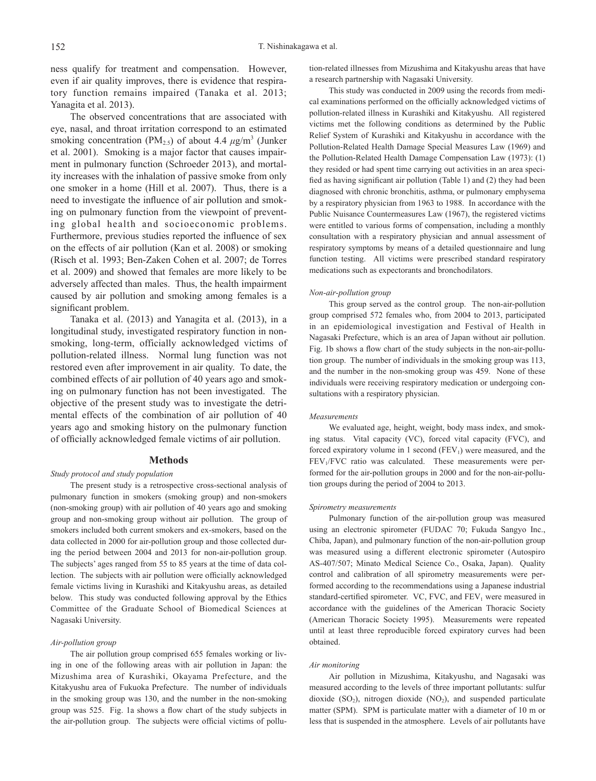ness qualify for treatment and compensation. However, even if air quality improves, there is evidence that respiratory function remains impaired (Tanaka et al. 2013; Yanagita et al. 2013).

The observed concentrations that are associated with eye, nasal, and throat irritation correspond to an estimated smoking concentration ( $PM<sub>2.5</sub>$ ) of about 4.4  $\mu$ g/m<sup>3</sup> (Junker et al. 2001). Smoking is a major factor that causes impairment in pulmonary function (Schroeder 2013), and mortality increases with the inhalation of passive smoke from only one smoker in a home (Hill et al. 2007). Thus, there is a need to investigate the influence of air pollution and smoking on pulmonary function from the viewpoint of preventing global health and socioeconomic problems. Furthermore, previous studies reported the influence of sex on the effects of air pollution (Kan et al. 2008) or smoking (Risch et al. 1993; Ben-Zaken Cohen et al. 2007; de Torres et al. 2009) and showed that females are more likely to be adversely affected than males. Thus, the health impairment caused by air pollution and smoking among females is a significant problem.

Tanaka et al. (2013) and Yanagita et al. (2013), in a longitudinal study, investigated respiratory function in nonsmoking, long-term, officially acknowledged victims of pollution-related illness. Normal lung function was not restored even after improvement in air quality. To date, the combined effects of air pollution of 40 years ago and smoking on pulmonary function has not been investigated. The objective of the present study was to investigate the detrimental effects of the combination of air pollution of 40 years ago and smoking history on the pulmonary function of officially acknowledged female victims of air pollution.

## **Methods**

#### *Study protocol and study population*

The present study is a retrospective cross-sectional analysis of pulmonary function in smokers (smoking group) and non-smokers (non-smoking group) with air pollution of 40 years ago and smoking group and non-smoking group without air pollution. The group of smokers included both current smokers and ex-smokers, based on the data collected in 2000 for air-pollution group and those collected during the period between 2004 and 2013 for non-air-pollution group. The subjects' ages ranged from 55 to 85 years at the time of data collection. The subjects with air pollution were officially acknowledged female victims living in Kurashiki and Kitakyushu areas, as detailed below. This study was conducted following approval by the Ethics Committee of the Graduate School of Biomedical Sciences at Nagasaki University.

## *Air-pollution group*

The air pollution group comprised 655 females working or living in one of the following areas with air pollution in Japan: the Mizushima area of Kurashiki, Okayama Prefecture, and the Kitakyushu area of Fukuoka Prefecture. The number of individuals in the smoking group was 130, and the number in the non-smoking group was 525. Fig. 1a shows a flow chart of the study subjects in the air-pollution group. The subjects were official victims of pollution-related illnesses from Mizushima and Kitakyushu areas that have a research partnership with Nagasaki University.

This study was conducted in 2009 using the records from medical examinations performed on the officially acknowledged victims of pollution-related illness in Kurashiki and Kitakyushu. All registered victims met the following conditions as determined by the Public Relief System of Kurashiki and Kitakyushu in accordance with the Pollution-Related Health Damage Special Measures Law (1969) and the Pollution-Related Health Damage Compensation Law (1973): (1) they resided or had spent time carrying out activities in an area specified as having significant air pollution (Table 1) and (2) they had been diagnosed with chronic bronchitis, asthma, or pulmonary emphysema by a respiratory physician from 1963 to 1988. In accordance with the Public Nuisance Countermeasures Law (1967), the registered victims were entitled to various forms of compensation, including a monthly consultation with a respiratory physician and annual assessment of respiratory symptoms by means of a detailed questionnaire and lung function testing. All victims were prescribed standard respiratory medications such as expectorants and bronchodilators.

## *Non-air-pollution group*

This group served as the control group. The non-air-pollution group comprised 572 females who, from 2004 to 2013, participated in an epidemiological investigation and Festival of Health in Nagasaki Prefecture, which is an area of Japan without air pollution. Fig. 1b shows a flow chart of the study subjects in the non-air-pollution group. The number of individuals in the smoking group was 113, and the number in the non-smoking group was 459. None of these individuals were receiving respiratory medication or undergoing consultations with a respiratory physician.

#### *Measurements*

We evaluated age, height, weight, body mass index, and smoking status. Vital capacity (VC), forced vital capacity (FVC), and forced expiratory volume in 1 second  $(FEV_1)$  were measured, and the  $FEV<sub>1</sub>/FVC$  ratio was calculated. These measurements were performed for the air-pollution groups in 2000 and for the non-air-pollution groups during the period of 2004 to 2013.

## *Spirometry measurements*

Pulmonary function of the air-pollution group was measured using an electronic spirometer (FUDAC 70; Fukuda Sangyo Inc., Chiba, Japan), and pulmonary function of the non-air-pollution group was measured using a different electronic spirometer (Autospiro AS-407/507; Minato Medical Science Co., Osaka, Japan). Quality control and calibration of all spirometry measurements were performed according to the recommendations using a Japanese industrial standard-certified spirometer. VC, FVC, and  $FEV<sub>1</sub>$  were measured in accordance with the guidelines of the American Thoracic Society (American Thoracic Society 1995). Measurements were repeated until at least three reproducible forced expiratory curves had been obtained.

#### *Air monitoring*

Air pollution in Mizushima, Kitakyushu, and Nagasaki was measured according to the levels of three important pollutants: sulfur dioxide  $(SO<sub>2</sub>)$ , nitrogen dioxide  $(NO<sub>2</sub>)$ , and suspended particulate matter (SPM). SPM is particulate matter with a diameter of 10 m or less that is suspended in the atmosphere. Levels of air pollutants have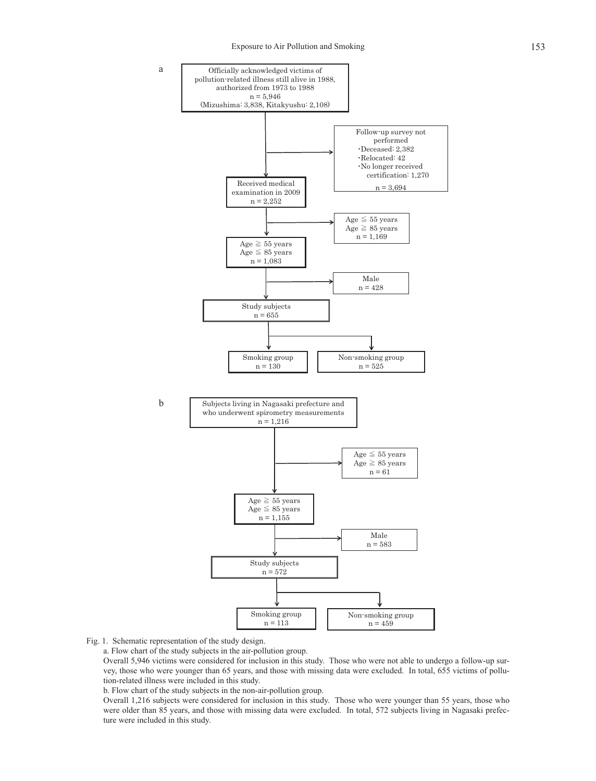

Fig. 1. Schematic representation of the study design.

b

a

a. Flow chart of the study subjects in the air-pollution group.

Overall 5,946 victims were considered for inclusion in this study. Those who were not able to undergo a follow-up survey, those who were younger than 65 years, and those with missing data were excluded. In total, 655 victims of pollution-related illness were included in this study.

b. Flow chart of the study subjects in the non-air-pollution group.

Overall 1,216 subjects were considered for inclusion in this study. Those who were younger than 55 years, those who were older than 85 years, and those with missing data were excluded. In total, 572 subjects living in Nagasaki prefecture were included in this study.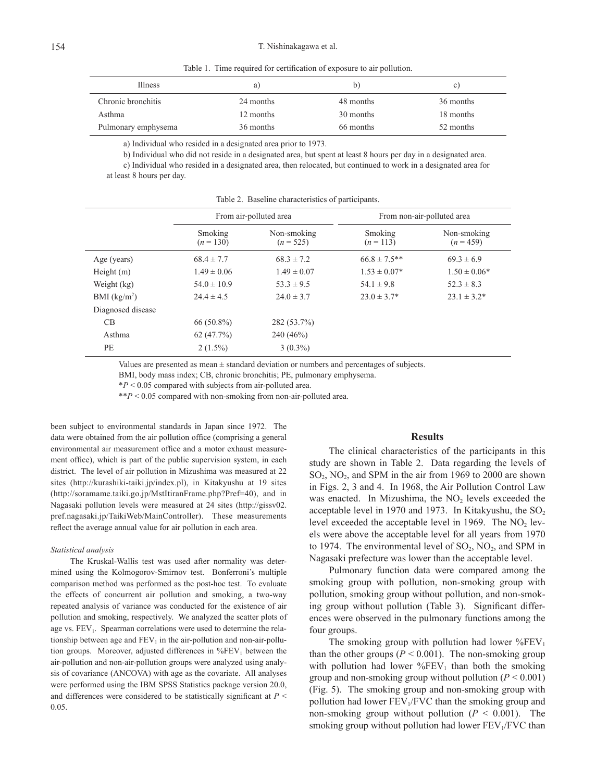Table 1. Time required for certification of exposure to air pollution.

| Illness             | a)        | b)        | C)        |
|---------------------|-----------|-----------|-----------|
| Chronic bronchitis  | 24 months | 48 months | 36 months |
| Asthma              | 12 months | 30 months | 18 months |
| Pulmonary emphysema | 36 months | 66 months | 52 months |

a) Individual who resided in a designated area prior to 1973.

b) Individual who did not reside in a designated area, but spent at least 8 hours per day in a designated area.

c) Individual who resided in a designated area, then relocated, but continued to work in a designated area for at least 8 hours per day.

|                   | From air-polluted area |                            | From non-air-polluted area |                            |
|-------------------|------------------------|----------------------------|----------------------------|----------------------------|
|                   | Smoking<br>$(n = 130)$ | Non-smoking<br>$(n = 525)$ | Smoking<br>$(n = 113)$     | Non-smoking<br>$(n = 459)$ |
| Age (years)       | $68.4 \pm 7.7$         | $68.3 \pm 7.2$             | $66.8 \pm 7.5**$           | $69.3 \pm 6.9$             |
| Height $(m)$      | $1.49 \pm 0.06$        | $1.49 \pm 0.07$            | $1.53 \pm 0.07*$           | $1.50 \pm 0.06*$           |
| Weight (kg)       | $54.0 \pm 10.9$        | $53.3 \pm 9.5$             | $54.1 \pm 9.8$             | $52.3 \pm 8.3$             |
| BMI $(kg/m2)$     | $24.4 \pm 4.5$         | $24.0 \pm 3.7$             | $23.0 \pm 3.7^*$           | $23.1 \pm 3.2^*$           |
| Diagnosed disease |                        |                            |                            |                            |
| CB                | $66(50.8\%)$           | 282 (53.7%)                |                            |                            |
| Asthma            | 62(47.7%)              | $240(46\%)$                |                            |                            |
| PE                | $2(1.5\%)$             | $3(0.3\%)$                 |                            |                            |

Table 2. Baseline characteristics of participants.

Values are presented as mean  $\pm$  standard deviation or numbers and percentages of subjects.

BMI, body mass index; CB, chronic bronchitis; PE, pulmonary emphysema.

\**P* < 0.05 compared with subjects from air-polluted area.

\*\**P* < 0.05 compared with non-smoking from non-air-polluted area.

been subject to environmental standards in Japan since 1972. The data were obtained from the air pollution office (comprising a general environmental air measurement office and a motor exhaust measurement office), which is part of the public supervision system, in each district. The level of air pollution in Mizushima was measured at 22 sites (http://kurashiki-taiki.jp/index.pl), in Kitakyushu at 19 sites (http://soramame.taiki.go.jp/MstItiranFrame.php?Pref=40), and in Nagasaki pollution levels were measured at 24 sites (http://gissv02. pref.nagasaki.jp/TaikiWeb/MainController). These measurements reflect the average annual value for air pollution in each area.

## *Statistical analysis*

The Kruskal-Wallis test was used after normality was determined using the Kolmogorov-Smirnov test. Bonferroni's multiple comparison method was performed as the post-hoc test. To evaluate the effects of concurrent air pollution and smoking, a two-way repeated analysis of variance was conducted for the existence of air pollution and smoking, respectively. We analyzed the scatter plots of age vs. FEV<sub>1</sub>. Spearman correlations were used to determine the relationship between age and  $FEV<sub>1</sub>$  in the air-pollution and non-air-pollution groups. Moreover, adjusted differences in  $\%$ FEV<sub>1</sub> between the air-pollution and non-air-pollution groups were analyzed using analysis of covariance (ANCOVA) with age as the covariate. All analyses were performed using the IBM SPSS Statistics package version 20.0, and differences were considered to be statistically significant at *P* < 0.05.

## **Results**

The clinical characteristics of the participants in this study are shown in Table 2. Data regarding the levels of  $SO<sub>2</sub>$ , NO<sub>2</sub>, and SPM in the air from 1969 to 2000 are shown in Figs. 2, 3 and 4. In 1968, the Air Pollution Control Law was enacted. In Mizushima, the  $NO<sub>2</sub>$  levels exceeded the acceptable level in 1970 and 1973. In Kitakyushu, the  $SO_2$ level exceeded the acceptable level in 1969. The  $NO<sub>2</sub>$  levels were above the acceptable level for all years from 1970 to 1974. The environmental level of  $SO_2$ ,  $NO_2$ , and SPM in Nagasaki prefecture was lower than the acceptable level.

Pulmonary function data were compared among the smoking group with pollution, non-smoking group with pollution, smoking group without pollution, and non-smoking group without pollution (Table 3). Significant differences were observed in the pulmonary functions among the four groups.

The smoking group with pollution had lower  $\%$ FEV<sub>1</sub> than the other groups  $(P < 0.001)$ . The non-smoking group with pollution had lower  $\%$ FEV<sub>1</sub> than both the smoking group and non-smoking group without pollution (*P* < 0.001) (Fig. 5). The smoking group and non-smoking group with pollution had lower  $FEV<sub>1</sub>/FVC$  than the smoking group and non-smoking group without pollution  $(P < 0.001)$ . The smoking group without pollution had lower  $FEV<sub>1</sub>/FVC$  than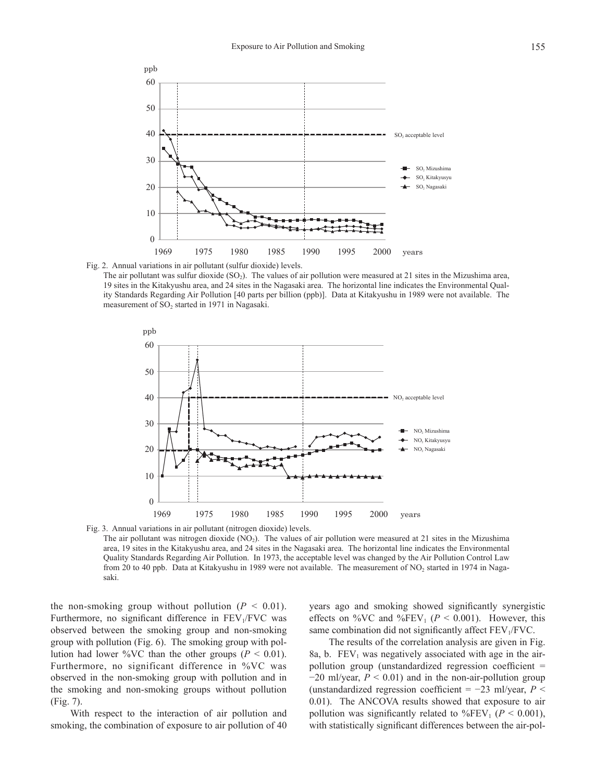

Fig. 2. Annual variations in air pollutant (sulfur dioxide) levels.

The air pollutant was sulfur dioxide  $(SO<sub>2</sub>)$ . The values of air pollution were measured at 21 sites in the Mizushima area, 19 sites in the Kitakyushu area, and 24 sites in the Nagasaki area. The horizontal line indicates the Environmental Quality Standards Regarding Air Pollution [40 parts per billion (ppb)]. Data at Kitakyushu in 1989 were not available. The measurement of SO<sub>2</sub> started in 1971 in Nagasaki.



Fig. 3. Annual variations in air pollutant (nitrogen dioxide) levels. The air pollutant was nitrogen dioxide (NO2). The values of air pollution were measured at 21 sites in the Mizushima area, 19 sites in the Kitakyushu area, and 24 sites in the Nagasaki area. The horizontal line indicates the Environmental Quality Standards Regarding Air Pollution. In 1973, the acceptable level was changed by the Air Pollution Control Law from 20 to 40 ppb. Data at Kitakyushu in 1989 were not available. The measurement of NO<sub>2</sub> started in 1974 in Nagasaki.

the non-smoking group without pollution  $(P \leq 0.01)$ . Furthermore, no significant difference in  $FEV<sub>1</sub>/FVC$  was observed between the smoking group and non-smoking group with pollution (Fig. 6). The smoking group with pollution had lower %VC than the other groups ( $P < 0.01$ ). Furthermore, no significant difference in %VC was observed in the non-smoking group with pollution and in the smoking and non-smoking groups without pollution (Fig. 7).

With respect to the interaction of air pollution and smoking, the combination of exposure to air pollution of 40

years ago and smoking showed significantly synergistic effects on %VC and %FEV<sub>1</sub> ( $P < 0.001$ ). However, this same combination did not significantly affect  $FEV<sub>1</sub>/FVC$ .

The results of the correlation analysis are given in Fig. 8a, b.  $FEV<sub>1</sub>$  was negatively associated with age in the airpollution group (unstandardized regression coefficient =  $-20$  ml/year,  $P \le 0.01$ ) and in the non-air-pollution group (unstandardized regression coefficient = −23 ml/year, *P* < 0.01). The ANCOVA results showed that exposure to air pollution was significantly related to %FEV<sub>1</sub> ( $P < 0.001$ ), with statistically significant differences between the air-pol-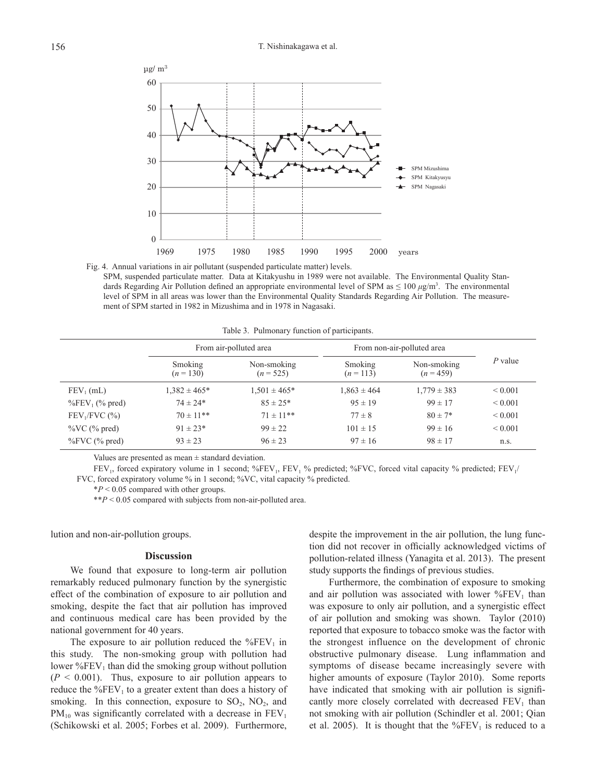

Fig. 4. Annual variations in air pollutant (suspended particulate matter) levels. SPM, suspended particulate matter. Data at Kitakyushu in 1989 were not available. The Environmental Quality Standards Regarding Air Pollution defined an appropriate environmental level of SPM as  $\leq 100 \ \mu g/m^3$ . The environmental level of SPM in all areas was lower than the Environmental Quality Standards Regarding Air Pollution. The measurement of SPM started in 1982 in Mizushima and in 1978 in Nagasaki.

Table 3. Pulmonary function of participants.

|                                | From air-polluted area |                            | From non-air-polluted area |                          |              |
|--------------------------------|------------------------|----------------------------|----------------------------|--------------------------|--------------|
|                                | Smoking<br>$(n=130)$   | Non-smoking<br>$(n = 525)$ | Smoking<br>$(n=113)$       | Non-smoking<br>$(n=459)$ | $P$ value    |
| $FEV_1$ (mL)                   | $1,382 \pm 465*$       | $1,501 \pm 465*$           | $1.863 \pm 464$            | $1,779 \pm 383$          | ${}_{0.001}$ |
| $\%$ FEV <sub>1</sub> (% pred) | $74 \pm 24*$           | $85 \pm 25*$               | $95 \pm 19$                | $99 \pm 17$              | ${}_{0.001}$ |
| $FEV1/FVC$ (%)                 | $70 \pm 11$ **         | $71 \pm 11$ **             | $77 \pm 8$                 | $80 \pm 7*$              | ${}_{0.001}$ |
| $\%VC$ ( $\%$ pred)            | $91 \pm 23*$           | $99 \pm 22$                | $101 \pm 15$               | $99 \pm 16$              | ${}_{0.001}$ |
| $\%$ FVC ( $\%$ pred)          | $93 \pm 23$            | $96 \pm 23$                | $97 \pm 16$                | $98 \pm 17$              | n.s.         |

Values are presented as mean  $\pm$  standard deviation.

FEV<sub>1</sub>, forced expiratory volume in 1 second; %FEV<sub>1</sub>, FEV<sub>1</sub> % predicted; %FVC, forced vital capacity % predicted; FEV<sub>1</sub>/ FVC, forced expiratory volume % in 1 second; %VC, vital capacity % predicted.

\**P* < 0.05 compared with other groups.

\*\**P* < 0.05 compared with subjects from non-air-polluted area.

lution and non-air-pollution groups.

## **Discussion**

We found that exposure to long-term air pollution remarkably reduced pulmonary function by the synergistic effect of the combination of exposure to air pollution and smoking, despite the fact that air pollution has improved and continuous medical care has been provided by the national government for 40 years.

The exposure to air pollution reduced the  $\%$ FEV<sub>1</sub> in this study. The non-smoking group with pollution had lower  $\%$ FEV<sub>1</sub> than did the smoking group without pollution  $(P \leq 0.001)$ . Thus, exposure to air pollution appears to reduce the  $\%$ FEV<sub>1</sub> to a greater extent than does a history of smoking. In this connection, exposure to  $SO_2$ ,  $NO_2$ , and  $PM_{10}$  was significantly correlated with a decrease in  $FEV_1$ (Schikowski et al. 2005; Forbes et al. 2009). Furthermore,

despite the improvement in the air pollution, the lung function did not recover in officially acknowledged victims of pollution-related illness (Yanagita et al. 2013). The present study supports the findings of previous studies.

Furthermore, the combination of exposure to smoking and air pollution was associated with lower  $%FEV<sub>1</sub>$  than was exposure to only air pollution, and a synergistic effect of air pollution and smoking was shown. Taylor (2010) reported that exposure to tobacco smoke was the factor with the strongest influence on the development of chronic obstructive pulmonary disease. Lung inflammation and symptoms of disease became increasingly severe with higher amounts of exposure (Taylor 2010). Some reports have indicated that smoking with air pollution is significantly more closely correlated with decreased  $FEV<sub>1</sub>$  than not smoking with air pollution (Schindler et al. 2001; Qian et al. 2005). It is thought that the  $\%$ FEV<sub>1</sub> is reduced to a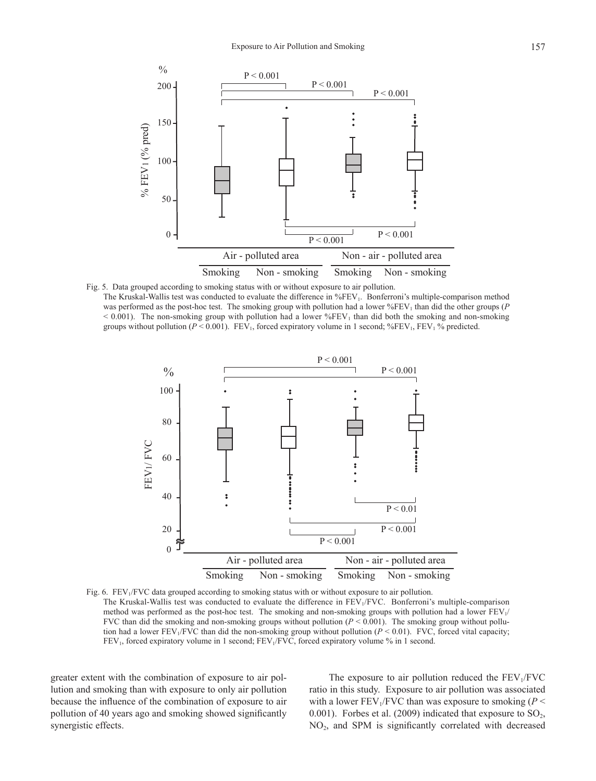

Fig. 5. Data grouped according to smoking status with or without exposure to air pollution. The Kruskal-Wallis test was conducted to evaluate the difference in %FEV<sub>1</sub>. Bonferroni's multiple-comparison method was performed as the post-hoc test. The smoking group with pollution had a lower  $\%$ FEV<sub>1</sub> than did the other groups (*P*  $< 0.001$ ). The non-smoking group with pollution had a lower %FEV<sub>1</sub> than did both the smoking and non-smoking groups without pollution ( $P < 0.001$ ). FEV<sub>1</sub>, forced expiratory volume in 1 second; %FEV<sub>1</sub>, FEV<sub>1</sub> % predicted.



Fig. 6. FEV<sub>1</sub>/FVC data grouped according to smoking status with or without exposure to air pollution. The Kruskal-Wallis test was conducted to evaluate the difference in FEV<sub>1</sub>/FVC. Bonferroni's multiple-comparison method was performed as the post-hoc test. The smoking and non-smoking groups with pollution had a lower  $FEV<sub>1</sub>/$ FVC than did the smoking and non-smoking groups without pollution  $(P < 0.001)$ . The smoking group without pollution had a lower FEV<sub>1</sub>/FVC than did the non-smoking group without pollution  $(P < 0.01)$ . FVC, forced vital capacity;  $FEV<sub>1</sub>$ , forced expiratory volume in 1 second;  $FEV<sub>1</sub>/FVC$ , forced expiratory volume % in 1 second.

greater extent with the combination of exposure to air pollution and smoking than with exposure to only air pollution because the influence of the combination of exposure to air pollution of 40 years ago and smoking showed significantly synergistic effects.

The exposure to air pollution reduced the  $FEV<sub>1</sub>/FVC$ ratio in this study. Exposure to air pollution was associated with a lower  $FEV_1/FVC$  than was exposure to smoking ( $P \leq$ 0.001). Forbes et al. (2009) indicated that exposure to  $SO_2$ ,  $NO<sub>2</sub>$ , and SPM is significantly correlated with decreased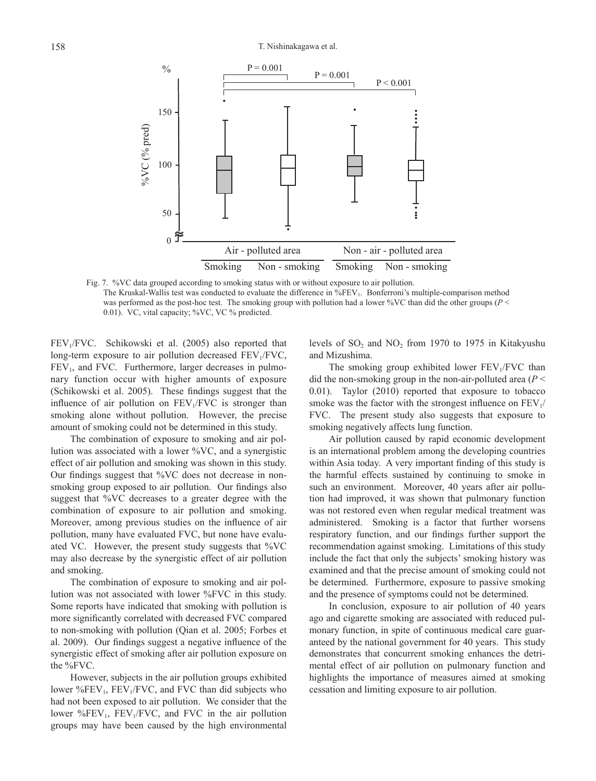

Fig. 7. %VC data grouped according to smoking status with or without exposure to air pollution. The Kruskal-Wallis test was conducted to evaluate the difference in %FEV<sub>1</sub>. Bonferroni's multiple-comparison method was performed as the post-hoc test. The smoking group with pollution had a lower %VC than did the other groups (*P* < 0.01). VC, vital capacity; %VC, VC % predicted.

 $FEV<sub>1</sub>/FVC$ . Schikowski et al. (2005) also reported that long-term exposure to air pollution decreased  $FEV<sub>1</sub>/FVC$ ,  $FEV<sub>1</sub>$ , and FVC. Furthermore, larger decreases in pulmonary function occur with higher amounts of exposure (Schikowski et al. 2005). These findings suggest that the influence of air pollution on  $FEV<sub>1</sub>/FVC$  is stronger than smoking alone without pollution. However, the precise amount of smoking could not be determined in this study.

The combination of exposure to smoking and air pollution was associated with a lower %VC, and a synergistic effect of air pollution and smoking was shown in this study. Our findings suggest that %VC does not decrease in nonsmoking group exposed to air pollution. Our findings also suggest that %VC decreases to a greater degree with the combination of exposure to air pollution and smoking. Moreover, among previous studies on the influence of air pollution, many have evaluated FVC, but none have evaluated VC. However, the present study suggests that %VC may also decrease by the synergistic effect of air pollution and smoking.

The combination of exposure to smoking and air pollution was not associated with lower %FVC in this study. Some reports have indicated that smoking with pollution is more significantly correlated with decreased FVC compared to non-smoking with pollution (Qian et al. 2005; Forbes et al. 2009). Our findings suggest a negative influence of the synergistic effect of smoking after air pollution exposure on the %FVC.

However, subjects in the air pollution groups exhibited lower  $%FEV<sub>1</sub>$ ,  $FEV<sub>1</sub>/FVC$ , and FVC than did subjects who had not been exposed to air pollution. We consider that the lower  $\%$ FEV<sub>1</sub>, FEV<sub>1</sub>/FVC, and FVC in the air pollution groups may have been caused by the high environmental

levels of  $SO_2$  and  $NO_2$  from 1970 to 1975 in Kitakyushu and Mizushima.

The smoking group exhibited lower  $FEV<sub>1</sub>/FVC$  than did the non-smoking group in the non-air-polluted area  $(P \leq$ 0.01). Taylor (2010) reported that exposure to tobacco smoke was the factor with the strongest influence on  $FEV<sub>1</sub>/$ FVC. The present study also suggests that exposure to smoking negatively affects lung function.

Air pollution caused by rapid economic development is an international problem among the developing countries within Asia today. A very important finding of this study is the harmful effects sustained by continuing to smoke in such an environment. Moreover, 40 years after air pollution had improved, it was shown that pulmonary function was not restored even when regular medical treatment was administered. Smoking is a factor that further worsens respiratory function, and our findings further support the recommendation against smoking. Limitations of this study include the fact that only the subjects' smoking history was examined and that the precise amount of smoking could not be determined. Furthermore, exposure to passive smoking and the presence of symptoms could not be determined.

In conclusion, exposure to air pollution of 40 years ago and cigarette smoking are associated with reduced pulmonary function, in spite of continuous medical care guaranteed by the national government for 40 years. This study demonstrates that concurrent smoking enhances the detrimental effect of air pollution on pulmonary function and highlights the importance of measures aimed at smoking cessation and limiting exposure to air pollution.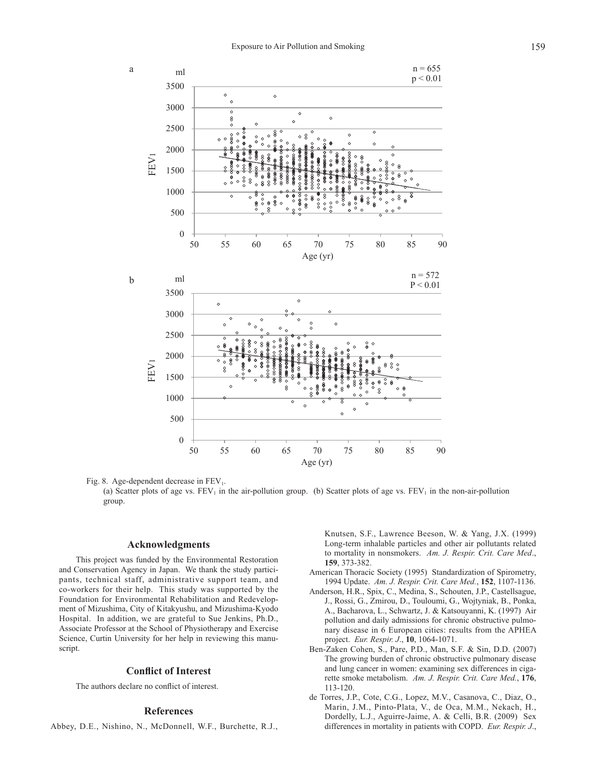

Fig. 8. Age-dependent decrease in  $FEV<sub>1</sub>$ .

(a) Scatter plots of age vs. FEV<sub>1</sub> in the air-pollution group. (b) Scatter plots of age vs. FEV<sub>1</sub> in the non-air-pollution group.

## **Acknowledgments**

This project was funded by the Environmental Restoration and Conservation Agency in Japan. We thank the study participants, technical staff, administrative support team, and co-workers for their help. This study was supported by the Foundation for Environmental Rehabilitation and Redevelopment of Mizushima, City of Kitakyushu, and Mizushima-Kyodo Hospital. In addition, we are grateful to Sue Jenkins, Ph.D., Associate Professor at the School of Physiotherapy and Exercise Science, Curtin University for her help in reviewing this manuscript.

## **Conflict of Interest**

The authors declare no conflict of interest.

## **References**

Abbey, D.E., Nishino, N., McDonnell, W.F., Burchette, R.J.,

Knutsen, S.F., Lawrence Beeson, W. & Yang, J.X. (1999) Long-term inhalable particles and other air pollutants related to mortality in nonsmokers. *Am. J. Respir. Crit. Care Med*., **159**, 373-382.

- American Thoracic Society (1995) Standardization of Spirometry, 1994 Update. *Am. J. Respir. Crit. Care Med.*, **152**, 1107-1136.
- Anderson, H.R., Spix, C., Medina, S., Schouten, J.P., Castellsague, J., Rossi, G., Zmirou, D., Touloumi, G., Wojtyniak, B., Ponka, A., Bacharova, L., Schwartz, J. & Katsouyanni, K. (1997) Air pollution and daily admissions for chronic obstructive pulmonary disease in 6 European cities: results from the APHEA project. *Eur. Respir. J*., **10**, 1064-1071.
- Ben-Zaken Cohen, S., Pare, P.D., Man, S.F. & Sin, D.D. (2007) The growing burden of chronic obstructive pulmonary disease and lung cancer in women: examining sex differences in cigarette smoke metabolism. *Am. J. Respir. Crit. Care Med.*, **176**, 113-120.
- de Torres, J.P., Cote, C.G., Lopez, M.V., Casanova, C., Diaz, O., Marin, J.M., Pinto-Plata, V., de Oca, M.M., Nekach, H., Dordelly, L.J., Aguirre-Jaime, A. & Celli, B.R. (2009) Sex differences in mortality in patients with COPD. *Eur. Respir. J*.,